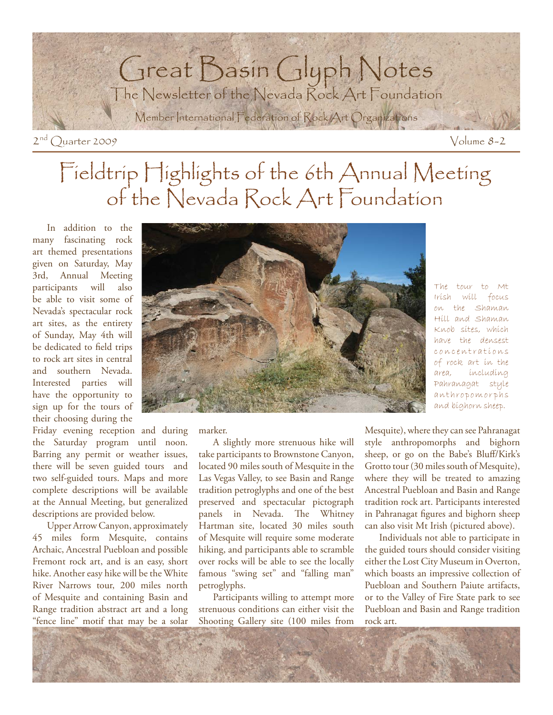

# Fieldtrip Highlights of the 6th Annual Meeting of the Nevada Rock Art Foundation

In addition to the many fascinating rock art themed presentations given on Saturday, May 3rd, Annual Meeting participants will also be able to visit some of Nevada's spectacular rock art sites, as the entirety of Sunday, May 4th will be dedicated to field trips to rock art sites in central and southern Nevada. Interested parties will have the opportunity to sign up for the tours of their choosing during the

Friday evening reception and during the Saturday program until noon. Barring any permit or weather issues, there will be seven guided tours and two self-guided tours. Maps and more complete descriptions will be available at the Annual Meeting, but generalized descriptions are provided below.

 Upper Arrow Canyon, approximately 45 miles form Mesquite, contains Archaic, Ancestral Puebloan and possible Fremont rock art, and is an easy, short hike. Another easy hike will be the White River Narrows tour, 200 miles north of Mesquite and containing Basin and Range tradition abstract art and a long "fence line" motif that may be a solar



The tour to Mt Irish will focus on the Shaman Hill and Shaman Knob sites, which have the densest c o n c e n t r a t i o n s of rock art in the area, including Pahranagat style anthropomorphs and bighorn sheep.

marker.

 A slightly more strenuous hike will take participants to Brownstone Canyon, located 90 miles south of Mesquite in the Las Vegas Valley, to see Basin and Range tradition petroglyphs and one of the best preserved and spectacular pictograph panels in Nevada. The Whitney Hartman site, located 30 miles south of Mesquite will require some moderate hiking, and participants able to scramble over rocks will be able to see the locally famous "swing set" and "falling man" petroglyphs.

 Participants willing to attempt more strenuous conditions can either visit the Shooting Gallery site (100 miles from

Mesquite), where they can see Pahranagat style anthropomorphs and bighorn sheep, or go on the Babe's Bluff/Kirk's Grotto tour (30 miles south of Mesquite), where they will be treated to amazing Ancestral Puebloan and Basin and Range tradition rock art. Participants interested in Pahranagat figures and bighorn sheep can also visit Mt Irish (pictured above).

 Individuals not able to participate in the guided tours should consider visiting either the Lost City Museum in Overton, which boasts an impressive collection of Puebloan and Southern Paiute artifacts, or to the Valley of Fire State park to see Puebloan and Basin and Range tradition rock art.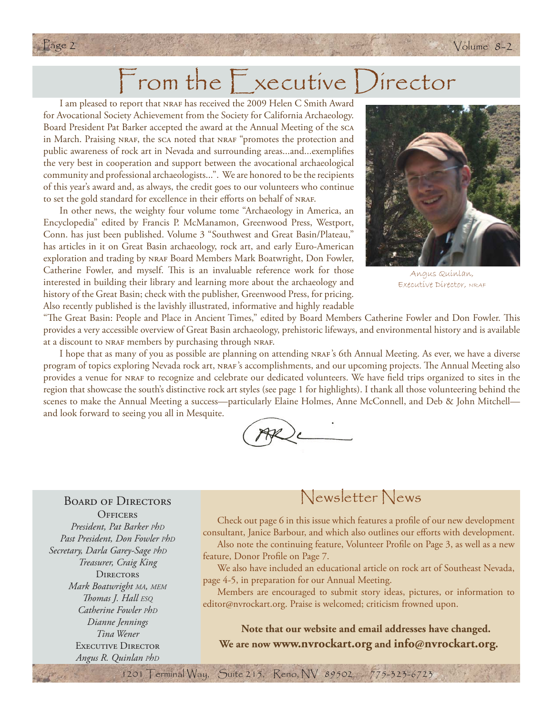# From the Executive Director

 $2 \times$  Volume 8-2

Page 2 Website of the Volume of the Volume of the Volume of the Volume of the Volume

I am pleased to report that NRAF has received the 2009 Helen C Smith Award for Avocational Society Achievement from the Society for California Archaeology. Board President Pat Barker accepted the award at the Annual Meeting of the sca in March. Praising NRAF, the sca noted that NRAF "promotes the protection and public awareness of rock art in Nevada and surrounding areas...and...exemplifies the very best in cooperation and support between the avocational archaeological community and professional archaeologists...". We are honored to be the recipients of this year's award and, as always, the credit goes to our volunteers who continue to set the gold standard for excellence in their efforts on behalf of NRAF.

In other news, the weighty four volume tome "Archaeology in America, an Encyclopedia" edited by Francis P. McManamon, Greenwood Press, Westport, Conn. has just been published. Volume 3 "Southwest and Great Basin/Plateau," has articles in it on Great Basin archaeology, rock art, and early Euro-American exploration and trading by NRAF Board Members Mark Boatwright, Don Fowler, Catherine Fowler, and myself. This is an invaluable reference work for those interested in building their library and learning more about the archaeology and history of the Great Basin; check with the publisher, Greenwood Press, for pricing. Also recently published is the lavishly illustrated, informative and highly readable



Angus Quinlan, Executive Director, NRAF

"The Great Basin: People and Place in Ancient Times," edited by Board Members Catherine Fowler and Don Fowler. This provides a very accessible overview of Great Basin archaeology, prehistoric lifeways, and environmental history and is available at a discount to NRAF members by purchasing through NRAF.

I hope that as many of you as possible are planning on attending nraf's 6th Annual Meeting. As ever, we have a diverse program of topics exploring Nevada rock art, NRAF's accomplishments, and our upcoming projects. The Annual Meeting also provides a venue for NRAF to recognize and celebrate our dedicated volunteers. We have field trips organized to sites in the region that showcase the south's distinctive rock art styles (see page 1 for highlights). I thank all those volunteering behind the scenes to make the Annual Meeting a success—particularly Elaine Holmes, Anne McConnell, and Deb & John Mitchell and look forward to seeing you all in Mesquite.

#### BOARD OF DIRECTORS

**OFFICERS** *President, Pat Barker PhD Past President, Don Fowler PhD Secretary, Darla Garey-Sage PhD Treasurer, Craig King* **DIRECTORS** *Mark Boatwright MA, MEM Th omas J. Hall ESQ Catherine Fowler PhD Dianne Jennings Tina Wener* EXECUTIVE DIRECTOR *Angus R. Quinlan PhD*

### Newsletter News

Check out page 6 in this issue which features a profile of our new development consultant, Janice Barbour, and which also outlines our efforts with development. Also note the continuing feature, Volunteer Profile on Page 3, as well as a new feature, Donor Profile on Page 7.

 We also have included an educational article on rock art of Southeast Nevada, page 4-5, in preparation for our Annual Meeting.

 Members are encouraged to submit story ideas, pictures, or information to editor@nvrockart.org. Praise is welcomed; criticism frowned upon.

**Note that our website and email addresses have changed. We are now www.nvrockart.org and info@nvrockart.org.**

1201 Terminal Way, Suite 215, Reno, NV 89502 775-323-6723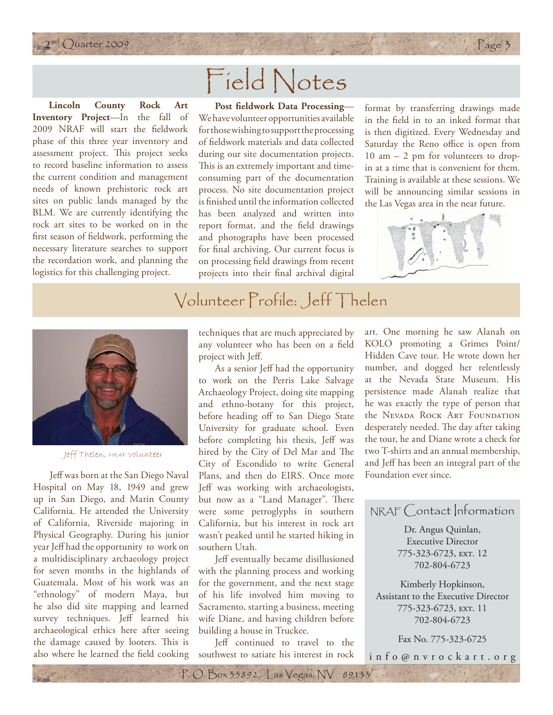

# Field Notes

**Lincoln County Rock Art Inventory Project**—In the fall of 2009 NRAF will start the fieldwork phase of this three year inventory and assessment project. This project seeks to record baseline information to assess the current condition and management needs of known prehistoric rock art sites on public lands managed by the BLM. We are currently identifying the rock art sites to be worked on in the first season of fieldwork, performing the necessary literature searches to support the recordation work, and planning the logistics for this challenging project.

**Post fieldwork Data Processing—** We have volunteer opportunities available for those wishing to support the processing of fieldwork materials and data collected during our site documentation projects. This is an extremely important and timeconsuming part of the documentation process. No site documentation project is finished until the information collected has been analyzed and written into report format, and the field drawings and photographs have been processed for final archiving. Our current focus is on processing field drawings from recent projects into their final archival digital format by transferring drawings made in the field in to an inked format that is then digitized. Every Wednesday and Saturday the Reno office is open from 10 am – 2 pm for volunteers to dropin at a time that is convenient for them. Training is available at these sessions. We will be announcing similar sessions in the Las Vegas area in the near future.



### Volunteer Profile: Jeff Thelen



Jeff Thelen, NRAF volunteer

Jeff was born at the San Diego Naval Hospital on May 18, 1949 and grew up in San Diego, and Marin County California. He attended the University of California, Riverside majoring in Physical Geography. During his junior year Jeff had the opportunity to work on a multidisciplinary archaeology project for seven months in the highlands of Guatemala. Most of his work was an "ethnology" of modern Maya, but he also did site mapping and learned survey techniques. Jeff learned his archaeological ethics here after seeing the damage caused by looters. This is also where he learned the field cooking

techniques that are much appreciated by any volunteer who has been on a field project with Jeff.

As a senior Jeff had the opportunity to work on the Perris Lake Salvage Archaeology Project, doing site mapping and ethno-botany for this project, before heading off to San Diego State University for graduate school. Even before completing his thesis, Jeff was hired by the City of Del Mar and The City of Escondido to write General Plans, and then do EIRS. Once more Jeff was working with archaeologists, but now as a "Land Manager". There were some petroglyphs in southern California, but his interest in rock art wasn't peaked until he started hiking in southern Utah.

Jeff eventually became disillusioned with the planning process and working for the government, and the next stage of his life involved him moving to Sacramento, starting a business, meeting wife Diane, and having children before building a house in Truckee.

Jeff continued to travel to the southwest to satiate his interest in rock

P. O. Box 35892, Las Vegas, NV 89133

art. One morning he saw Alanah on KOLO promoting a Grimes Point/ Hidden Cave tour. He wrote down her number, and dogged her relentlessly at the Nevada State Museum. His persistence made Alanah realize that he was exactly the type of person that the Nevada Rock Art Foundation desperately needed. The day after taking the tour, he and Diane wrote a check for two T-shirts and an annual membership, and Jeff has been an integral part of the Foundation ever since.

### NRAF Contact Information

Dr. Angus Quinlan, Executive Director 775-323-6723, EXT. 12 702-804-6723

Kimberly Hopkinson, Assistant to the Executive Director 775-323-6723, ext. 11 702-804-6723

Fax No. 775-323-6725

info@nvrockart.org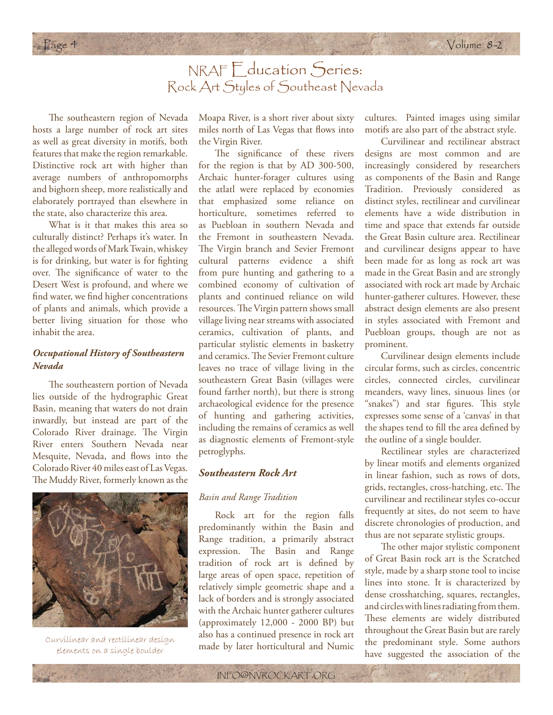### NRAF Education Series: Rock Art Styles of Southeast Nevada

The southeastern region of Nevada hosts a large number of rock art sites as well as great diversity in motifs, both features that make the region remarkable. Distinctive rock art with higher than average numbers of anthropomorphs and bighorn sheep, more realistically and elaborately portrayed than elsewhere in the state, also characterize this area.

What is it that makes this area so culturally distinct? Perhaps it's water. In the alleged words of Mark Twain, whiskey is for drinking, but water is for fighting over. The significance of water to the Desert West is profound, and where we find water, we find higher concentrations of plants and animals, which provide a better living situation for those who inhabit the area.

#### *Occupational History of Southeastern Nevada*

The southeastern portion of Nevada lies outside of the hydrographic Great Basin, meaning that waters do not drain inwardly, but instead are part of the Colorado River drainage. The Virgin River enters Southern Nevada near Mesquite, Nevada, and flows into the Colorado River 40 miles east of Las Vegas. The Muddy River, formerly known as the



Curvilinear and rectilinear design elements on a single boulder

Moapa River, is a short river about sixty miles north of Las Vegas that flows into the Virgin River.

The significance of these rivers for the region is that by AD 300-500, Archaic hunter-forager cultures using the atlatl were replaced by economies that emphasized some reliance on horticulture, sometimes referred to as Puebloan in southern Nevada and the Fremont in southeastern Nevada. The Virgin branch and Sevier Fremont cultural patterns evidence a shift from pure hunting and gathering to a combined economy of cultivation of plants and continued reliance on wild resources. The Virgin pattern shows small village living near streams with associated ceramics, cultivation of plants, and particular stylistic elements in basketry and ceramics. The Sevier Fremont culture leaves no trace of village living in the southeastern Great Basin (villages were found farther north), but there is strong archaeological evidence for the presence of hunting and gathering activities, including the remains of ceramics as well as diagnostic elements of Fremont-style petroglyphs.

#### *Southeastern Rock Art*

#### *Basin and Range Tradition*

Rock art for the region falls predominantly within the Basin and Range tradition, a primarily abstract expression. The Basin and Range tradition of rock art is defined by large areas of open space, repetition of relatively simple geometric shape and a lack of borders and is strongly associated with the Archaic hunter gatherer cultures (approximately 12,000 - 2000 BP) but also has a continued presence in rock art made by later horticultural and Numic cultures. Painted images using similar motifs are also part of the abstract style.

Curvilinear and rectilinear abstract designs are most common and are increasingly considered by researchers as components of the Basin and Range Tradition. Previously considered as distinct styles, rectilinear and curvilinear elements have a wide distribution in time and space that extends far outside the Great Basin culture area. Rectilinear and curvilinear designs appear to have been made for as long as rock art was made in the Great Basin and are strongly associated with rock art made by Archaic hunter-gatherer cultures. However, these abstract design elements are also present in styles associated with Fremont and Puebloan groups, though are not as prominent.

Curvilinear design elements include circular forms, such as circles, concentric circles, connected circles, curvilinear meanders, wavy lines, sinuous lines (or "snakes") and star figures. This style expresses some sense of a 'canvas' in that the shapes tend to fill the area defined by the outline of a single boulder.

Rectilinear styles are characterized by linear motifs and elements organized in linear fashion, such as rows of dots, grids, rectangles, cross-hatching, etc. The curvilinear and rectilinear styles co-occur frequently at sites, do not seem to have discrete chronologies of production, and thus are not separate stylistic groups.

The other major stylistic component of Great Basin rock art is the Scratched style, made by a sharp stone tool to incise lines into stone. It is characterized by dense crosshatching, squares, rectangles, and circles with lines radiating from them. These elements are widely distributed throughout the Great Basin but are rarely the predominant style. Some authors have suggested the association of the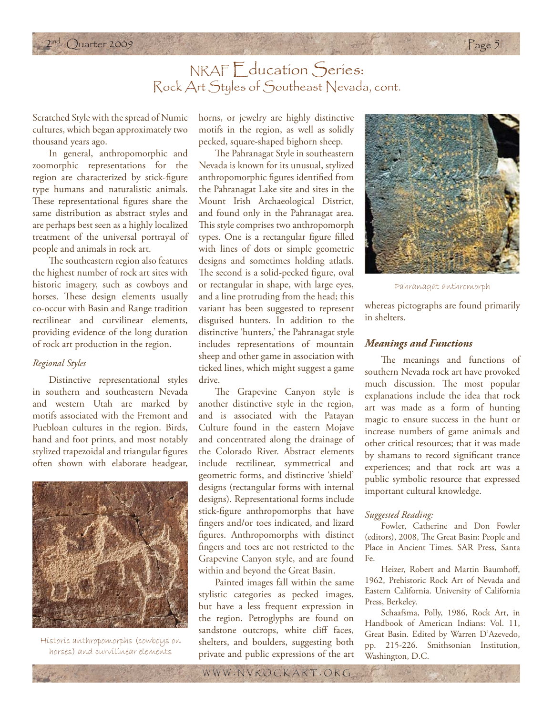### NRAF Education Series: Rock Art Styles of Southeast Nevada, cont.

 $2009$  Page 5

Scratched Style with the spread of Numic cultures, which began approximately two thousand years ago.

In general, anthropomorphic and zoomorphic representations for the region are characterized by stick-figure type humans and naturalistic animals. These representational figures share the same distribution as abstract styles and are perhaps best seen as a highly localized treatment of the universal portrayal of people and animals in rock art.

The southeastern region also features the highest number of rock art sites with historic imagery, such as cowboys and horses. These design elements usually co-occur with Basin and Range tradition rectilinear and curvilinear elements, providing evidence of the long duration of rock art production in the region.

#### *Regional Styles*

Distinctive representational styles in southern and southeastern Nevada and western Utah are marked by motifs associated with the Fremont and Puebloan cultures in the region. Birds, hand and foot prints, and most notably stylized trapezoidal and triangular figures often shown with elaborate headgear,



Historic anthropomorphs (cowboys on horses) and curvilinear elements

horns, or jewelry are highly distinctive motifs in the region, as well as solidly pecked, square-shaped bighorn sheep.

The Pahranagat Style in southeastern Nevada is known for its unusual, stylized anthropomorphic figures identified from the Pahranagat Lake site and sites in the Mount Irish Archaeological District, and found only in the Pahranagat area. This style comprises two anthropomorph types. One is a rectangular figure filled with lines of dots or simple geometric designs and sometimes holding atlatls. The second is a solid-pecked figure, oval or rectangular in shape, with large eyes, and a line protruding from the head; this variant has been suggested to represent disguised hunters. In addition to the distinctive 'hunters,' the Pahranagat style includes representations of mountain sheep and other game in association with ticked lines, which might suggest a game drive.

The Grapevine Canyon style is another distinctive style in the region, and is associated with the Patayan Culture found in the eastern Mojave and concentrated along the drainage of the Colorado River. Abstract elements include rectilinear, symmetrical and geometric forms, and distinctive 'shield' designs (rectangular forms with internal designs). Representational forms include stick-figure anthropomorphs that have fingers and/or toes indicated, and lizard figures. Anthropomorphs with distinct fingers and toes are not restricted to the Grapevine Canyon style, and are found within and beyond the Great Basin.

Painted images fall within the same stylistic categories as pecked images, but have a less frequent expression in the region. Petroglyphs are found on sandstone outcrops, white cliff faces, shelters, and boulders, suggesting both private and public expressions of the art



Pahranagat anthromorph

whereas pictographs are found primarily in shelters.

#### *Meanings and Functions*

The meanings and functions of southern Nevada rock art have provoked much discussion. The most popular explanations include the idea that rock art was made as a form of hunting magic to ensure success in the hunt or increase numbers of game animals and other critical resources; that it was made by shamans to record significant trance experiences; and that rock art was a public symbolic resource that expressed important cultural knowledge.

#### *Suggested Reading:*

of the same

Fowler, Catherine and Don Fowler (editors), 2008, The Great Basin: People and Place in Ancient Times. SAR Press, Santa Fe.

Heizer, Robert and Martin Baumhoff, 1962, Prehistoric Rock Art of Nevada and Eastern California. University of California Press, Berkeley.

Schaafsma, Polly, 1986, Rock Art, in Handbook of American Indians: Vol. 11, Great Basin. Edited by Warren D'Azevedo, pp. 215-226. Smithsonian Institution, Washington, D.C.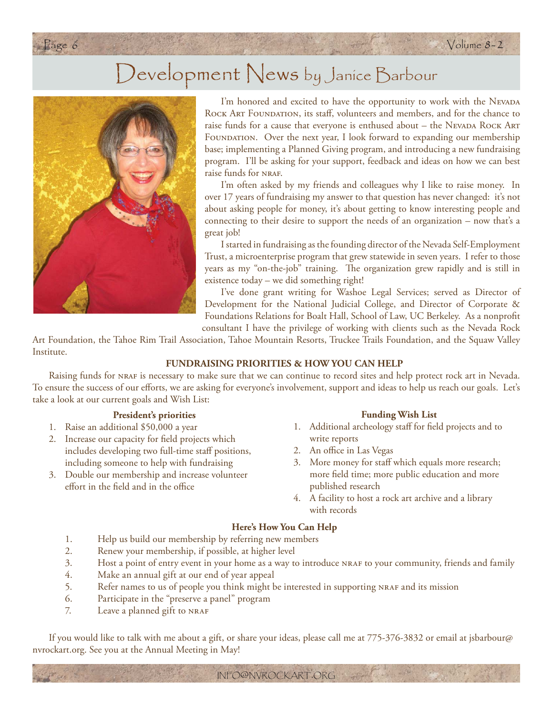## Development News by Janice Barbour



I'm honored and excited to have the opportunity to work with the NEVADA ROCK ART FOUNDATION, its staff, volunteers and members, and for the chance to raise funds for a cause that everyone is enthused about – the NEVADA ROCK ART FOUNDATION. Over the next year, I look forward to expanding our membership base; implementing a Planned Giving program, and introducing a new fundraising program. I'll be asking for your support, feedback and ideas on how we can best raise funds for NRAF.

I'm often asked by my friends and colleagues why I like to raise money. In over 17 years of fundraising my answer to that question has never changed: it's not about asking people for money, it's about getting to know interesting people and connecting to their desire to support the needs of an organization – now that's a great job!

I started in fundraising as the founding director of the Nevada Self-Employment Trust, a microenterprise program that grew statewide in seven years. I refer to those years as my "on-the-job" training. The organization grew rapidly and is still in existence today – we did something right!

I've done grant writing for Washoe Legal Services; served as Director of Development for the National Judicial College, and Director of Corporate & Foundations Relations for Boalt Hall, School of Law, UC Berkeley. As a nonprofit consultant I have the privilege of working with clients such as the Nevada Rock

Art Foundation, the Tahoe Rim Trail Association, Tahoe Mountain Resorts, Truckee Trails Foundation, and the Squaw Valley Institute.

#### **FUNDRAISING PRIORITIES & HOW YOU CAN HELP**

Raising funds for nraf is necessary to make sure that we can continue to record sites and help protect rock art in Nevada. To ensure the success of our efforts, we are asking for everyone's involvement, support and ideas to help us reach our goals. Let's take a look at our current goals and Wish List:

#### **President's priorities**

- 1. Raise an additional \$50,000 a year
- 2. Increase our capacity for field projects which includes developing two full-time staff positions, including someone to help with fundraising
- 3. Double our membership and increase volunteer effort in the field and in the office

#### **Funding Wish List**

- 1. Additional archeology staff for field projects and to write reports
- 2. An office in Las Vegas
- 3. More money for staff which equals more research; more field time; more public education and more published research
- 4. A facility to host a rock art archive and a library  $\psi$  with records

#### **Here's How You Can Help**

- 1. Help us build our membership by referring new members
- 2. Renew your membership, if possible, at higher level
- 3. Host a point of entry event in your home as a way to introduce nraf to your community, friends and family
- 4. Make an annual gift at our end of year appeal
- 5. Refer names to us of people you think might be interested in supporting NRAF and its mission
- 6. Participate in the "preserve a panel" program
- 7. Leave a planned gift to NRAF

If you would like to talk with me about a gift, or share your ideas, please call me at 775-376-3832 or email at jsbarbour@ nvrockart.org. See you at the Annual Meeting in May!

INFO@NVROCKART.ORG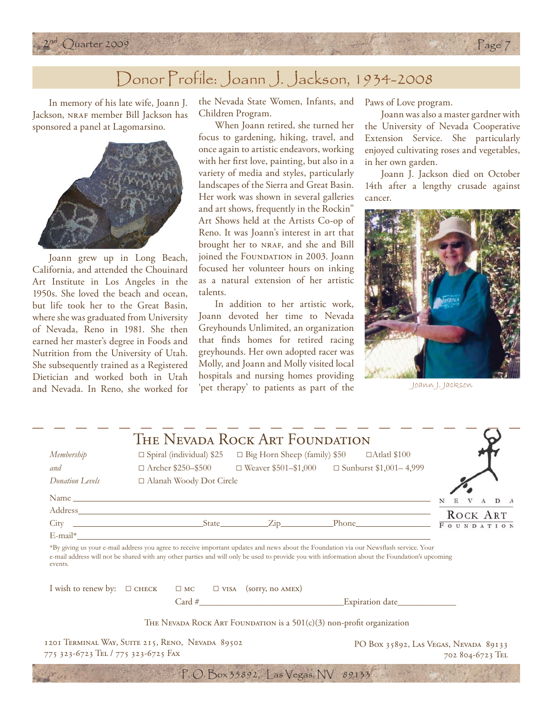

### Donor Profile: Joann J. Jackson, 1934-2008

In memory of his late wife, Joann J. Jackson, NRAF member Bill Jackson has sponsored a panel at Lagomarsino.



Joann grew up in Long Beach, California, and attended the Chouinard Art Institute in Los Angeles in the 1950s. She loved the beach and ocean, but life took her to the Great Basin, where she was graduated from University of Nevada, Reno in 1981. She then earned her master's degree in Foods and Nutrition from the University of Utah. She subsequently trained as a Registered Dietician and worked both in Utah and Nevada. In Reno, she worked for

the Nevada State Women, Infants, and Children Program.

When Joann retired, she turned her focus to gardening, hiking, travel, and once again to artistic endeavors, working with her first love, painting, but also in a variety of media and styles, particularly landscapes of the Sierra and Great Basin. Her work was shown in several galleries and art shows, frequently in the Rockin" Art Shows held at the Artists Co-op of Reno. It was Joann's interest in art that brought her to NRAF, and she and Bill joined the FOUNDATION in 2003. Joann focused her volunteer hours on inking as a natural extension of her artistic talents.

In addition to her artistic work, Joann devoted her time to Nevada Greyhounds Unlimited, an organization that finds homes for retired racing greyhounds. Her own adopted racer was Molly, and Joann and Molly visited local hospitals and nursing homes providing 'pet therapy' to patients as part of the Joann J. Jackson

Paws of Love program.

Joann was also a master gardner with the University of Nevada Cooperative Extension Service. She particularly enjoyed cultivating roses and vegetables, in her own garden.

Page 7

Joann J. Jackson died on October 14th after a lengthy crusade against cancer.



| Membership                                                                                                                                                                                                                     | $\Box$ Spiral (individual) \$25 |  | $\Box$ Big Horn Sheep (family) \$50    | $\Box$ Atlatl \$100                                                                                                                                                                                                                                                                      |                   |
|--------------------------------------------------------------------------------------------------------------------------------------------------------------------------------------------------------------------------------|---------------------------------|--|----------------------------------------|------------------------------------------------------------------------------------------------------------------------------------------------------------------------------------------------------------------------------------------------------------------------------------------|-------------------|
| and                                                                                                                                                                                                                            | $\Box$ Archer \$250–\$500       |  |                                        | $\Box$ Weaver \$501-\$1,000 $\Box$ Sunburst \$1,001-4,999                                                                                                                                                                                                                                |                   |
| Donation Levels                                                                                                                                                                                                                | □ Alanah Woody Dot Circle       |  |                                        |                                                                                                                                                                                                                                                                                          |                   |
| Name and the contract of the contract of the contract of the contract of the contract of the contract of the contract of the contract of the contract of the contract of the contract of the contract of the contract of the c |                                 |  |                                        |                                                                                                                                                                                                                                                                                          | V A D A           |
|                                                                                                                                                                                                                                |                                 |  |                                        |                                                                                                                                                                                                                                                                                          | ROCK ART          |
|                                                                                                                                                                                                                                |                                 |  |                                        |                                                                                                                                                                                                                                                                                          | <b>FOUNDATION</b> |
| $E$ -mail*                                                                                                                                                                                                                     |                                 |  |                                        |                                                                                                                                                                                                                                                                                          |                   |
| events.                                                                                                                                                                                                                        |                                 |  |                                        | *By giving us your e-mail address you agree to receive important updates and news about the Foundation via our Newsflash service. Your<br>e-mail address will not be shared with any other parties and will only be used to provide you with information about the Foundation's upcoming |                   |
|                                                                                                                                                                                                                                |                                 |  | $\Box$ MC $\Box$ VISA (sorry, no AMEX) |                                                                                                                                                                                                                                                                                          |                   |
| I wish to renew by: $\Box$ CHECK                                                                                                                                                                                               |                                 |  |                                        |                                                                                                                                                                                                                                                                                          |                   |

1201 TERMINAL WAY, SUITE 215, RENO, NEVADA 89502 775 323-6723 TEL / 775 323-6725 FAX

PO Box 35892, LAS VEGAS, NEVADA 89133 702 804-6723 TEL

P. O. Box 35892, Las Vegas, NV 89133